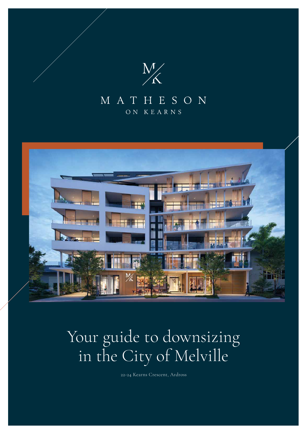

 $\mathcal{M}_{\mathrm{max}}$ 

## MATHESON ON KEARNS



22-24 Kearns Crescent, Ardross

# Your guide to downsizing in the City of Melville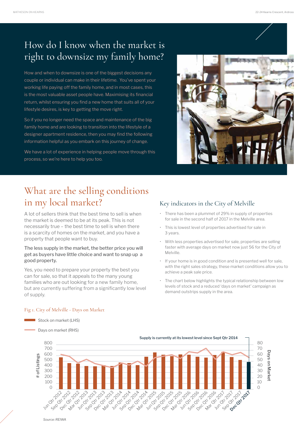# How do I know when the market is right to downsize my family home?

How and when to downsize is one of the biggest decisions any couple or individual can make in their lifetime. You've spent your working life paying off the family home, and in most cases, this is the most valuable asset people have. Maximising its financial return, whilst ensuring you find a new home that suits all of your lifestyle desires, is key to getting the move right.

So if you no longer need the space and maintenance of the big family home and are looking to transition into the lifestyle of a designer apartment residence, then you may find the following information helpful as you embark on this journey of change.

We have a lot of experience in helping people move through this process, so we're here to help you too.



A lot of sellers think that the best time to sell is when the market is deemed to be at its peak. This is not necessarily true – the best time to sell is when there is a scarcity of homes on the market, and you have a property that people want to buy.

### The less supply in the market, the better price you will get as buyers have little choice and want to snap up a good property.

Yes, you need to prepare your property the best you can for sale, so that it appeals to the many young families who are out looking for a new family home, but are currently suffering from a significantly low level of supply.

### Key indicators in the City of Melville

- There has been a plummet of 29% in supply of properties for sale in the second half of 2017 in the Melville area.
- This is lowest level of properties advertised for sale in 3 years.
- With less properties advertised for sale, properties are selling faster with average days on market now just 56 for the City of Melville.
- If your home is in good condition and is presented well for sale, with the right sales strategy, these market conditions allow you to achieve a peak sale price.
- The chart below highlights the typical relationship between low levels of stock and a reduced 'days on market' campaign as demand outstrips supply in the area.

Days on market (RHS)



### Fig 1. City of Melville - Days on Market

Stock on market (LHS)

*Source: REIWA*

# What are the selling conditions in my local market?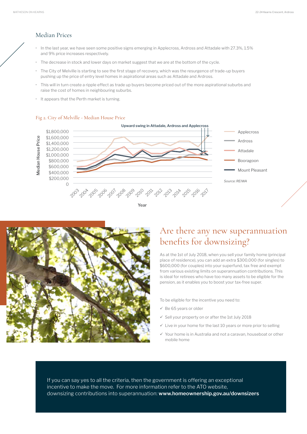### Median Prices

- In the last year, we have seen some positive signs emerging in Applecross, Ardross and Attadale with 27.3%, 1.5% and 9% price increases respectively.
- The decrease in stock and lower days on market suggest that we are at the bottom of the cycle.
- The City of Melville is starting to see the first stage of recovery, which was the resurgence of trade-up buyers pushing up the price of entry level homes in aspirational areas such as Attadale and Ardross.
- This will in turn create a ripple effect as trade up buyers become priced out of the more aspirational suburbs and raise the cost of homes in neighbouring suburbs.
- It appears that the Perth market is turning.

- To be eligible for the incentive you need to:
- $\checkmark$  Be 65 years or older
- $\checkmark$  Sell your property on or after the 1st July 2018
- $\checkmark$  Live in your home for the last 10 years or more prior to selling



 $\checkmark$  Your home is in Australia and not a caravan, houseboat or other mobile home

#### Fig 2. City of Melville - Median House Price



# Are there any new superannuation benefits for downsizing?

As at the 1st of July 2018, when you sell your family home (principal place of residence), you can add an extra \$300,000 (for singles) to \$600,000 (for couples) into your superfund, tax free and exempt from various existing limits on superannuation contributions. This is ideal for retirees who have too many assets to be eligible for the pension, as it enables you to boost your tax-free super.



If you can say yes to all the criteria, then the government is offering an exceptional incentive to make the move. For more information refer to the ATO website, downsizing contributions into superannuation: **www.homeownership.gov.au/downsizers**